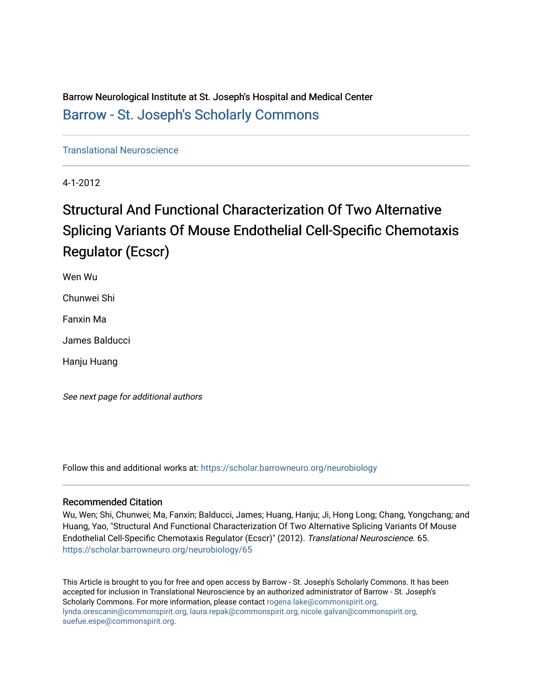Barrow Neurological Institute at St. Joseph's Hospital and Medical Center [Barrow - St. Joseph's Scholarly Commons](https://scholar.barrowneuro.org/) 

[Translational Neuroscience](https://scholar.barrowneuro.org/neurobiology)

4-1-2012

# Structural And Functional Characterization Of Two Alternative Splicing Variants Of Mouse Endothelial Cell-Specific Chemotaxis Regulator (Ecscr)

Wen Wu

Chunwei Shi

Fanxin Ma

James Balducci

Hanju Huang

See next page for additional authors

Follow this and additional works at: [https://scholar.barrowneuro.org/neurobiology](https://scholar.barrowneuro.org/neurobiology?utm_source=scholar.barrowneuro.org%2Fneurobiology%2F65&utm_medium=PDF&utm_campaign=PDFCoverPages)

## Recommended Citation

Wu, Wen; Shi, Chunwei; Ma, Fanxin; Balducci, James; Huang, Hanju; Ji, Hong Long; Chang, Yongchang; and Huang, Yao, "Structural And Functional Characterization Of Two Alternative Splicing Variants Of Mouse Endothelial Cell-Specific Chemotaxis Regulator (Ecscr)" (2012). Translational Neuroscience. 65. [https://scholar.barrowneuro.org/neurobiology/65](https://scholar.barrowneuro.org/neurobiology/65?utm_source=scholar.barrowneuro.org%2Fneurobiology%2F65&utm_medium=PDF&utm_campaign=PDFCoverPages) 

This Article is brought to you for free and open access by Barrow - St. Joseph's Scholarly Commons. It has been accepted for inclusion in Translational Neuroscience by an authorized administrator of Barrow - St. Joseph's Scholarly Commons. For more information, please contact [rogena.lake@commonspirit.org,](mailto:rogena.lake@commonspirit.org,%20lynda.orescanin@commonspirit.org,%20laura.repak@commonspirit.org,%20nicole.galvan@commonspirit.org,%20suefue.espe@commonspirit.org) [lynda.orescanin@commonspirit.org, laura.repak@commonspirit.org, nicole.galvan@commonspirit.org,](mailto:rogena.lake@commonspirit.org,%20lynda.orescanin@commonspirit.org,%20laura.repak@commonspirit.org,%20nicole.galvan@commonspirit.org,%20suefue.espe@commonspirit.org)  [suefue.espe@commonspirit.org](mailto:rogena.lake@commonspirit.org,%20lynda.orescanin@commonspirit.org,%20laura.repak@commonspirit.org,%20nicole.galvan@commonspirit.org,%20suefue.espe@commonspirit.org).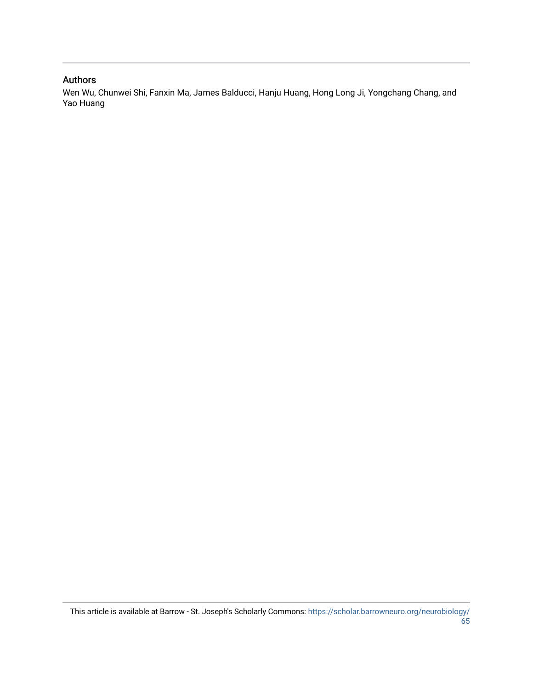## Authors

Wen Wu, Chunwei Shi, Fanxin Ma, James Balducci, Hanju Huang, Hong Long Ji, Yongchang Chang, and Yao Huang

This article is available at Barrow - St. Joseph's Scholarly Commons: [https://scholar.barrowneuro.org/neurobiology/](https://scholar.barrowneuro.org/neurobiology/65) [65](https://scholar.barrowneuro.org/neurobiology/65)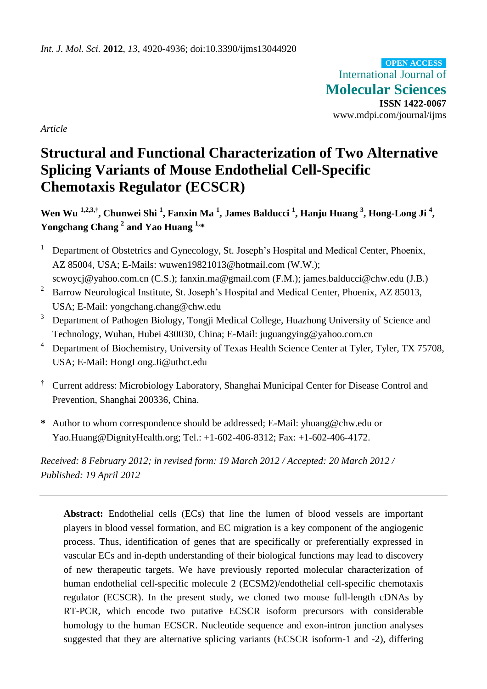International Journal of **Molecular Sciences ISSN 1422-0067** www.mdpi.com/journal/ijms **OPEN ACCESS**

*Article*

## **Structural and Functional Characterization of Two Alternative Splicing Variants of Mouse Endothelial Cell-Specific Chemotaxis Regulator (ECSCR)**

**Wen Wu 1,2,3,†, Chunwei Shi <sup>1</sup> , Fanxin Ma <sup>1</sup> , James Balducci <sup>1</sup> , Hanju Huang <sup>3</sup> , Hong-Long Ji <sup>4</sup> , Yongchang Chang <sup>2</sup> and Yao Huang 1,\***

- <sup>1</sup> Department of Obstetrics and Gynecology, St. Joseph's Hospital and Medical Center, Phoenix, AZ 85004, USA; E-Mails: wuwen19821013@hotmail.com (W.W.); scwoycj@yahoo.com.cn (C.S.); fanxin.ma@gmail.com (F.M.); james.balducci@chw.edu (J.B.)
- <sup>2</sup> Barrow Neurological Institute, St. Joseph's Hospital and Medical Center, Phoenix, AZ 85013, USA; E-Mail: yongchang.chang@chw.edu
- <sup>3</sup> Department of Pathogen Biology, Tongji Medical College, Huazhong University of Science and Technology, Wuhan, Hubei 430030, China; E-Mail: juguangying@yahoo.com.cn
- <sup>4</sup> Department of Biochemistry, University of Texas Health Science Center at Tyler, Tyler, TX 75708, USA; E-Mail: HongLong.Ji@uthct.edu
- **†** Current address: Microbiology Laboratory, Shanghai Municipal Center for Disease Control and Prevention, Shanghai 200336, China.
- **\*** Author to whom correspondence should be addressed; E-Mail: yhuang@chw.edu or Yao.Huang@DignityHealth.org; Tel.: +1-602-406-8312; Fax: +1-602-406-4172.

*Received: 8 February 2012; in revised form: 19 March 2012 / Accepted: 20 March 2012 / Published: 19 April 2012*

Abstract: Endothelial cells (ECs) that line the lumen of blood vessels are important players in blood vessel formation, and EC migration is a key component of the angiogenic process. Thus, identification of genes that are specifically or preferentially expressed in vascular ECs and in-depth understanding of their biological functions may lead to discovery of new therapeutic targets. We have previously reported molecular characterization of human endothelial cell-specific molecule 2 (ECSM2)/endothelial cell-specific chemotaxis regulator (ECSCR). In the present study, we cloned two mouse full-length cDNAs by RT-PCR, which encode two putative ECSCR isoform precursors with considerable homology to the human ECSCR. Nucleotide sequence and exon-intron junction analyses suggested that they are alternative splicing variants (ECSCR isoform-1 and -2), differing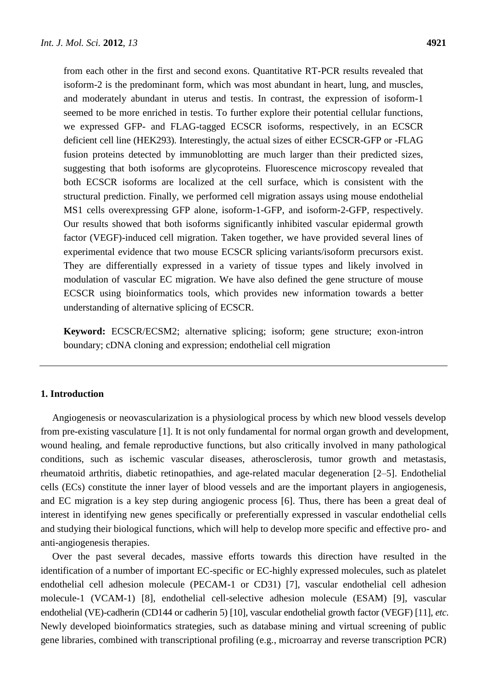from each other in the first and second exons. Quantitative RT-PCR results revealed that isoform-2 is the predominant form, which was most abundant in heart, lung, and muscles, and moderately abundant in uterus and testis. In contrast, the expression of isoform-1 seemed to be more enriched in testis. To further explore their potential cellular functions, we expressed GFP- and FLAG-tagged ECSCR isoforms, respectively, in an ECSCR deficient cell line (HEK293). Interestingly, the actual sizes of either ECSCR-GFP or -FLAG fusion proteins detected by immunoblotting are much larger than their predicted sizes, suggesting that both isoforms are glycoproteins. Fluorescence microscopy revealed that both ECSCR isoforms are localized at the cell surface, which is consistent with the structural prediction. Finally, we performed cell migration assays using mouse endothelial MS1 cells overexpressing GFP alone, isoform-1-GFP, and isoform-2-GFP, respectively. Our results showed that both isoforms significantly inhibited vascular epidermal growth factor (VEGF)-induced cell migration. Taken together, we have provided several lines of experimental evidence that two mouse ECSCR splicing variants/isoform precursors exist. They are differentially expressed in a variety of tissue types and likely involved in modulation of vascular EC migration. We have also defined the gene structure of mouse ECSCR using bioinformatics tools, which provides new information towards a better understanding of alternative splicing of ECSCR.

**Keyword:** ECSCR/ECSM2; alternative splicing; isoform; gene structure; exon-intron boundary; cDNA cloning and expression; endothelial cell migration

## **1. Introduction**

Angiogenesis or neovascularization is a physiological process by which new blood vessels develop from pre-existing vasculature [1]. It is not only fundamental for normal organ growth and development, wound healing, and female reproductive functions, but also critically involved in many pathological conditions, such as ischemic vascular diseases, atherosclerosis, tumor growth and metastasis, rheumatoid arthritis, diabetic retinopathies, and age-related macular degeneration [2–5]. Endothelial cells (ECs) constitute the inner layer of blood vessels and are the important players in angiogenesis, and EC migration is a key step during angiogenic process [6]. Thus, there has been a great deal of interest in identifying new genes specifically or preferentially expressed in vascular endothelial cells and studying their biological functions, which will help to develop more specific and effective pro- and anti-angiogenesis therapies.

Over the past several decades, massive efforts towards this direction have resulted in the identification of a number of important EC-specific or EC-highly expressed molecules, such as platelet endothelial cell adhesion molecule (PECAM-1 or CD31) [7], vascular endothelial cell adhesion molecule-1 (VCAM-1) [8], endothelial cell-selective adhesion molecule (ESAM) [9], vascular endothelial (VE)-cadherin (CD144 or cadherin 5) [10], vascular endothelial growth factor (VEGF) [11], *etc*. Newly developed bioinformatics strategies, such as database mining and virtual screening of public gene libraries, combined with transcriptional profiling (e.g., microarray and reverse transcription PCR)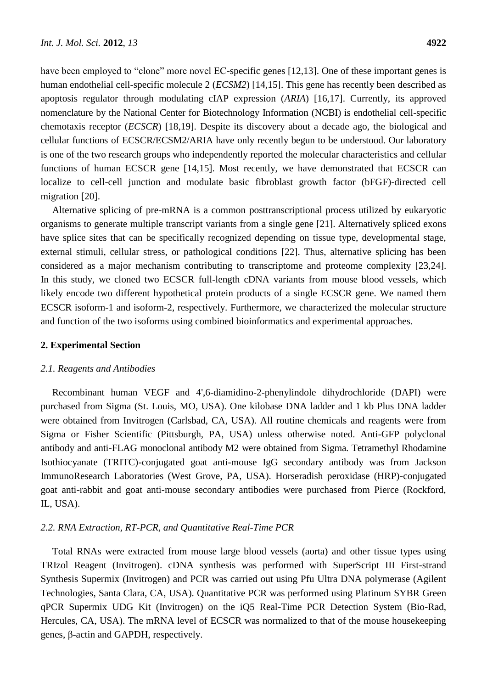have been employed to "clone" more novel EC-specific genes [12,13]. One of these important genes is human endothelial cell-specific molecule 2 (*ECSM2*) [14,15]. This gene has recently been described as apoptosis regulator through modulating cIAP expression (*ARIA*) [16,17]. Currently, its approved nomenclature by the National Center for Biotechnology Information (NCBI) is endothelial cell-specific chemotaxis receptor (*ECSCR*) [18,19]. Despite its discovery about a decade ago, the biological and cellular functions of ECSCR/ECSM2/ARIA have only recently begun to be understood. Our laboratory is one of the two research groups who independently reported the molecular characteristics and cellular functions of human ECSCR gene [14,15]. Most recently, we have demonstrated that ECSCR can localize to cell-cell junction and modulate basic fibroblast growth factor (bFGF)-directed cell migration [20].

Alternative splicing of pre-mRNA is a common posttranscriptional process utilized by eukaryotic organisms to generate multiple transcript variants from a single gene [21]. Alternatively spliced exons have splice sites that can be specifically recognized depending on tissue type, developmental stage, external stimuli, cellular stress, or pathological conditions [22]. Thus, alternative splicing has been considered as a major mechanism contributing to transcriptome and proteome complexity [23,24]. In this study, we cloned two ECSCR full-length cDNA variants from mouse blood vessels, which likely encode two different hypothetical protein products of a single ECSCR gene. We named them ECSCR isoform-1 and isoform-2, respectively. Furthermore, we characterized the molecular structure and function of the two isoforms using combined bioinformatics and experimental approaches.

## **2. Experimental Section**

### *2.1. Reagents and Antibodies*

Recombinant human VEGF and 4',6-diamidino-2-phenylindole dihydrochloride (DAPI) were purchased from Sigma (St. Louis, MO, USA). One kilobase DNA ladder and 1 kb Plus DNA ladder were obtained from Invitrogen (Carlsbad, CA, USA). All routine chemicals and reagents were from Sigma or Fisher Scientific (Pittsburgh, PA, USA) unless otherwise noted. Anti-GFP polyclonal antibody and anti-FLAG monoclonal antibody M2 were obtained from Sigma. Tetramethyl Rhodamine Isothiocyanate (TRITC)-conjugated goat anti-mouse IgG secondary antibody was from Jackson ImmunoResearch Laboratories (West Grove, PA, USA). Horseradish peroxidase (HRP)-conjugated goat anti-rabbit and goat anti-mouse secondary antibodies were purchased from Pierce (Rockford, IL, USA).

## *2.2. RNA Extraction, RT-PCR, and Quantitative Real-Time PCR*

Total RNAs were extracted from mouse large blood vessels (aorta) and other tissue types using TRIzol Reagent (Invitrogen). cDNA synthesis was performed with SuperScript III First-strand Synthesis Supermix (Invitrogen) and PCR was carried out using Pfu Ultra DNA polymerase (Agilent Technologies, Santa Clara, CA, USA). Quantitative PCR was performed using Platinum SYBR Green qPCR Supermix UDG Kit (Invitrogen) on the iQ5 Real-Time PCR Detection System (Bio-Rad, Hercules, CA, USA). The mRNA level of ECSCR was normalized to that of the mouse housekeeping genes, β-actin and GAPDH, respectively.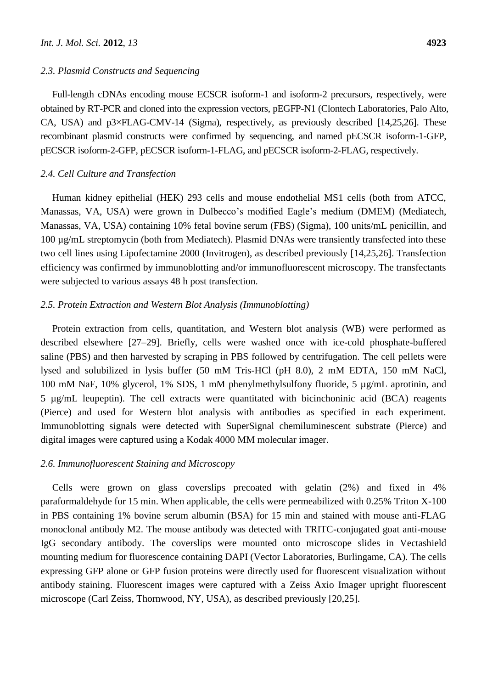#### *2.3. Plasmid Constructs and Sequencing*

Full-length cDNAs encoding mouse ECSCR isoform-1 and isoform-2 precursors, respectively, were obtained by RT-PCR and cloned into the expression vectors, pEGFP-N1 (Clontech Laboratories, Palo Alto, CA, USA) and p3×FLAG-CMV-14 (Sigma), respectively, as previously described [14,25,26]. These recombinant plasmid constructs were confirmed by sequencing, and named pECSCR isoform-1-GFP, pECSCR isoform-2-GFP, pECSCR isoform-1-FLAG, and pECSCR isoform-2-FLAG, respectively.

## *2.4. Cell Culture and Transfection*

Human kidney epithelial (HEK) 293 cells and mouse endothelial MS1 cells (both from ATCC, Manassas, VA, USA) were grown in Dulbecco's modified Eagle's medium (DMEM) (Mediatech, Manassas, VA, USA) containing 10% fetal bovine serum (FBS) (Sigma), 100 units/mL penicillin, and 100 µg/mL streptomycin (both from Mediatech). Plasmid DNAs were transiently transfected into these two cell lines using Lipofectamine 2000 (Invitrogen), as described previously [14,25,26]. Transfection efficiency was confirmed by immunoblotting and/or immunofluorescent microscopy. The transfectants were subjected to various assays 48 h post transfection.

## *2.5. Protein Extraction and Western Blot Analysis (Immunoblotting)*

Protein extraction from cells, quantitation, and Western blot analysis (WB) were performed as described elsewhere [27–29]. Briefly, cells were washed once with ice-cold phosphate-buffered saline (PBS) and then harvested by scraping in PBS followed by centrifugation. The cell pellets were lysed and solubilized in lysis buffer (50 mM Tris-HCl (pH 8.0), 2 mM EDTA, 150 mM NaCl, 100 mM NaF, 10% glycerol, 1% SDS, 1 mM phenylmethylsulfony fluoride, 5 µg/mL aprotinin, and 5 µg/mL leupeptin). The cell extracts were quantitated with bicinchoninic acid (BCA) reagents (Pierce) and used for Western blot analysis with antibodies as specified in each experiment. Immunoblotting signals were detected with SuperSignal chemiluminescent substrate (Pierce) and digital images were captured using a Kodak 4000 MM molecular imager.

## *2.6. Immunofluorescent Staining and Microscopy*

Cells were grown on glass coverslips precoated with gelatin (2%) and fixed in 4% paraformaldehyde for 15 min. When applicable, the cells were permeabilized with 0.25% Triton X-100 in PBS containing 1% bovine serum albumin (BSA) for 15 min and stained with mouse anti-FLAG monoclonal antibody M2. The mouse antibody was detected with TRITC-conjugated goat anti-mouse IgG secondary antibody. The coverslips were mounted onto microscope slides in Vectashield mounting medium for fluorescence containing DAPI (Vector Laboratories, Burlingame, CA). The cells expressing GFP alone or GFP fusion proteins were directly used for fluorescent visualization without antibody staining. Fluorescent images were captured with a Zeiss Axio Imager upright fluorescent microscope (Carl Zeiss, Thornwood, NY, USA), as described previously [20,25].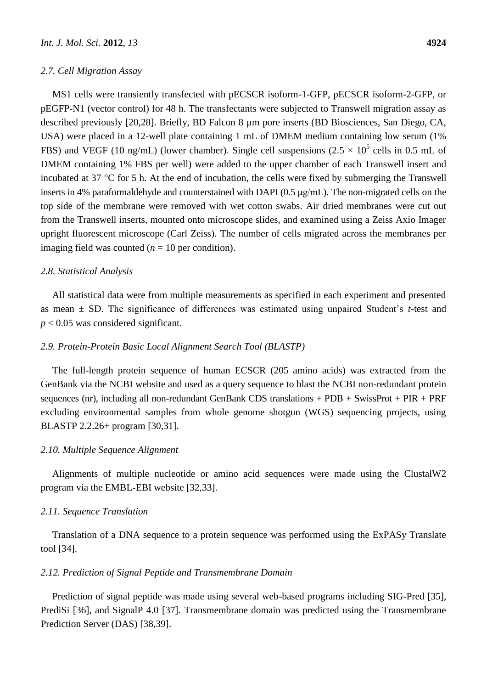#### *2.7. Cell Migration Assay*

MS1 cells were transiently transfected with pECSCR isoform-1-GFP, pECSCR isoform-2-GFP, or pEGFP-N1 (vector control) for 48 h. The transfectants were subjected to Transwell migration assay as described previously [20,28]. Briefly, BD Falcon 8 µm pore inserts (BD Biosciences, San Diego, CA, USA) were placed in a 12-well plate containing 1 mL of DMEM medium containing low serum (1% FBS) and VEGF (10 ng/mL) (lower chamber). Single cell suspensions (2.5  $\times$  10<sup>5</sup> cells in 0.5 mL of DMEM containing 1% FBS per well) were added to the upper chamber of each Transwell insert and incubated at 37  $\degree$ C for 5 h. At the end of incubation, the cells were fixed by submerging the Transwell inserts in 4% paraformaldehyde and counterstained with DAPI (0.5 μg/mL). The non-migrated cells on the top side of the membrane were removed with wet cotton swabs. Air dried membranes were cut out from the Transwell inserts, mounted onto microscope slides, and examined using a Zeiss Axio Imager upright fluorescent microscope (Carl Zeiss). The number of cells migrated across the membranes per imaging field was counted  $(n = 10$  per condition).

## *2.8. Statistical Analysis*

All statistical data were from multiple measurements as specified in each experiment and presented as mean ± SD. The significance of differences was estimated using unpaired Student's *t*-test and *p* < 0.05 was considered significant.

## *2.9. Protein-Protein Basic Local Alignment Search Tool (BLASTP)*

The full-length protein sequence of human ECSCR (205 amino acids) was extracted from the GenBank via the NCBI website and used as a query sequence to blast the NCBI non-redundant protein sequences (nr), including all non-redundant GenBank CDS translations + PDB + SwissProt + PIR + PRF excluding environmental samples from whole genome shotgun (WGS) sequencing projects, using BLASTP 2.2.26+ program [30,31].

#### *2.10. Multiple Sequence Alignment*

Alignments of multiple nucleotide or amino acid sequences were made using the ClustalW2 program via the EMBL-EBI website [32,33].

#### *2.11. Sequence Translation*

Translation of a DNA sequence to a protein sequence was performed using the ExPASy Translate tool [34].

### *2.12. Prediction of Signal Peptide and Transmembrane Domain*

Prediction of signal peptide was made using several web-based programs including SIG-Pred [35], PrediSi [36], and SignalP 4.0 [37]. Transmembrane domain was predicted using the Transmembrane Prediction Server (DAS) [38,39].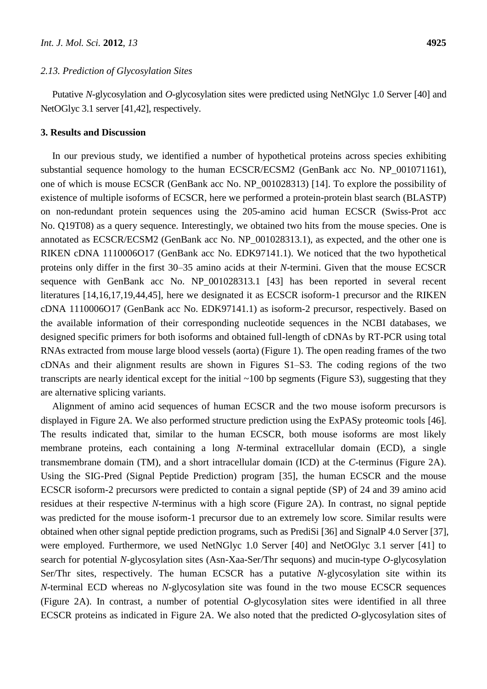#### *2.13. Prediction of Glycosylation Sites*

Putative *N*-glycosylation and *O*-glycosylation sites were predicted using NetNGlyc 1.0 Server [40] and NetOGlyc 3.1 server [41,42], respectively.

## **3. Results and Discussion**

In our previous study, we identified a number of hypothetical proteins across species exhibiting substantial sequence homology to the human ECSCR/ECSM2 (GenBank acc No. NP\_001071161), one of which is mouse ECSCR (GenBank acc No. NP\_001028313) [14]. To explore the possibility of existence of multiple isoforms of ECSCR, here we performed a protein-protein blast search (BLASTP) on non-redundant protein sequences using the 205-amino acid human ECSCR (Swiss-Prot acc No. Q19T08) as a query sequence. Interestingly, we obtained two hits from the mouse species. One is annotated as ECSCR/ECSM2 (GenBank acc No. NP\_001028313.1), as expected, and the other one is RIKEN cDNA 1110006O17 (GenBank acc No. EDK97141.1). We noticed that the two hypothetical proteins only differ in the first 30–35 amino acids at their *N*-termini. Given that the mouse ECSCR sequence with GenBank acc No. NP\_001028313.1 [43] has been reported in several recent literatures [14,16,17,19,44,45], here we designated it as ECSCR isoform-1 precursor and the RIKEN cDNA 1110006O17 (GenBank acc No. EDK97141.1) as isoform-2 precursor, respectively. Based on the available information of their corresponding nucleotide sequences in the NCBI databases, we designed specific primers for both isoforms and obtained full-length of cDNAs by RT-PCR using total RNAs extracted from mouse large blood vessels (aorta) (Figure 1). The open reading frames of the two cDNAs and their alignment results are shown in Figures S1–S3. The coding regions of the two transcripts are nearly identical except for the initial  $~100$  bp segments (Figure S3), suggesting that they are alternative splicing variants.

Alignment of amino acid sequences of human ECSCR and the two mouse isoform precursors is displayed in Figure 2A. We also performed structure prediction using the ExPASy proteomic tools [46]. The results indicated that, similar to the human ECSCR, both mouse isoforms are most likely membrane proteins, each containing a long *N*-terminal extracellular domain (ECD), a single transmembrane domain (TM), and a short intracellular domain (ICD) at the *C*-terminus (Figure 2A). Using the SIG-Pred (Signal Peptide Prediction) program [35], the human ECSCR and the mouse ECSCR isoform-2 precursors were predicted to contain a signal peptide (SP) of 24 and 39 amino acid residues at their respective *N*-terminus with a high score (Figure 2A). In contrast, no signal peptide was predicted for the mouse isoform-1 precursor due to an extremely low score. Similar results were obtained when other signal peptide prediction programs, such as PrediSi [36] and SignalP 4.0 Server [37], were employed. Furthermore, we used NetNGlyc 1.0 Server [40] and NetOGlyc 3.1 server [41] to search for potential *N*-glycosylation sites (Asn-Xaa-Ser/Thr sequons) and mucin-type *O*-glycosylation Ser/Thr sites, respectively. The human ECSCR has a putative *N*-glycosylation site within its *N*-terminal ECD whereas no *N*-glycosylation site was found in the two mouse ECSCR sequences (Figure 2A). In contrast, a number of potential *O*-glycosylation sites were identified in all three ECSCR proteins as indicated in Figure 2A. We also noted that the predicted *O*-glycosylation sites of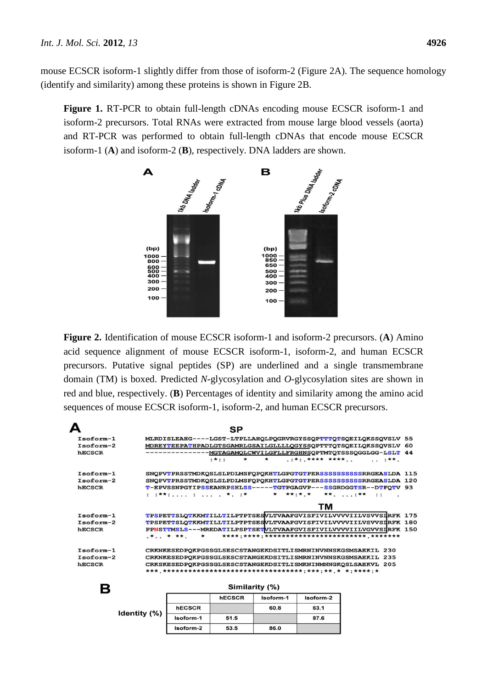mouse ECSCR isoform-1 slightly differ from those of isoform-2 (Figure 2A). The sequence homology (identify and similarity) among these proteins is shown in Figure 2B.

**Figure 1.** RT-PCR to obtain full-length cDNAs encoding mouse ECSCR isoform-1 and isoform-2 precursors. Total RNAs were extracted from mouse large blood vessels (aorta) and RT-PCR was performed to obtain full-length cDNAs that encode mouse ECSCR isoform-1 (**A**) and isoform-2 (**B**), respectively. DNA ladders are shown.



**Figure 2.** Identification of mouse ECSCR isoform-1 and isoform-2 precursors. (**A**) Amino acid sequence alignment of mouse ECSCR isoform-1, isoform-2, and human ECSCR precursors. Putative signal peptides (SP) are underlined and a single transmembrane domain (TM) is boxed. Predicted *N*-glycosylation and *O*-glycosylation sites are shown in red and blue, respectively. (**B**) Percentages of identity and similarity among the amino acid sequences of mouse ECSCR isoform-1, isoform-2, and human ECSCR precursors.

|               |               |               | SP      |                |           |                                                                   |          |  |
|---------------|---------------|---------------|---------|----------------|-----------|-------------------------------------------------------------------|----------|--|
| $Isoform-1$   |               |               |         |                |           | MLRDISLEAHG----LGST-LTPLLAHOLPOGRVRGYSSOPTTTOTSOEILOKSSOVSLV 55   |          |  |
| $Isoform-2$   |               |               |         |                |           | MDREYTEEPATHPADLGTSGAMRLGSAILGLLLLQGYSSQPTTTQTSQEILQKSSQVSLV 60   |          |  |
| <b>hECSCR</b> |               |               |         |                |           | ---------- MGTAGAMQLCWVILGFLLFRGHNSQPTMTQTSSSQGGLGG-LSLT 44       |          |  |
|               |               | $: * : :$     | $\star$ | $\star$        |           |                                                                   | $$ $$ $$ |  |
| $Isoform-1$   |               |               |         |                |           | SNOPVTPRSSTMDKOSLSLPDLMSFOPOKHTLGPGTGTPERSSSSSSSSSSSRRGEASLDA 115 |          |  |
| $Isoform-2$   |               |               |         |                |           | SNOPVTPRSSTMDKOSLSLPDLMSFOPOKHTLGPGTGTPERSSSSSSSSSSRRGEASLDA 120  |          |  |
| <b>hECSCR</b> |               |               |         |                |           | T-EPVSSNPGYIPSSEANRPSHLSS-----TGTPGAGVP---SSGRDGGTSR--DTFQTV 93   |          |  |
|               |               |               |         |                |           | * **:*.* **. :** ::                                               |          |  |
|               |               |               |         |                | тм        |                                                                   |          |  |
| $Isoform-1$   |               |               |         |                |           | TPSPETTSLOTKKMTILLTILPTPTSESVLTVAAFGVISFIVILVVVVIILVSVVSIRFK 175  |          |  |
| Isoform-2     |               |               |         |                |           | TPSPETTSLQTKKMTILLTILPTPTSESVLTVAAFGVISFIVILVVVVIILVSVVSIRFK 180  |          |  |
| <b>hECSCR</b> |               |               |         |                |           | PPNSTTMSLS---MREDATILPSPTSETVLTVAAFGVISFIVILVVVVIILVGVVSIRFK 150  |          |  |
|               |               |               |         |                |           |                                                                   |          |  |
| $Isoform-1$   |               |               |         |                |           | CRKNKESEDPOKPGSSGLSESCSTANGEKDSITLISMRNINVNNSKGSMSAEKIL 230       |          |  |
| $Isoform-2$   |               |               |         |                |           | CRKNKESEDPOKPGSSGLSESCSTANGEKDSITLISMRNINVNNSKGSMSAEKIL 235       |          |  |
| <b>hECSCR</b> |               |               |         |                |           | CRKSKESEDPOKPGSSGLSESCSTANGEKDSITLISMKNINMNNGKOSLSAEKVL 205       |          |  |
|               |               |               |         |                |           |                                                                   |          |  |
| Β             |               |               |         | Similarity (%) |           |                                                                   |          |  |
|               |               | <b>hECSCR</b> |         | Isoform-1      | Isoform-2 |                                                                   |          |  |
| Identity (%)  | <b>hECSCR</b> |               |         | 60.8           | 63.1      |                                                                   |          |  |
|               | $h$ nform 1   | <b>E4 E</b>   |         |                | 97C       |                                                                   |          |  |

53.5

86.0

Isoform-2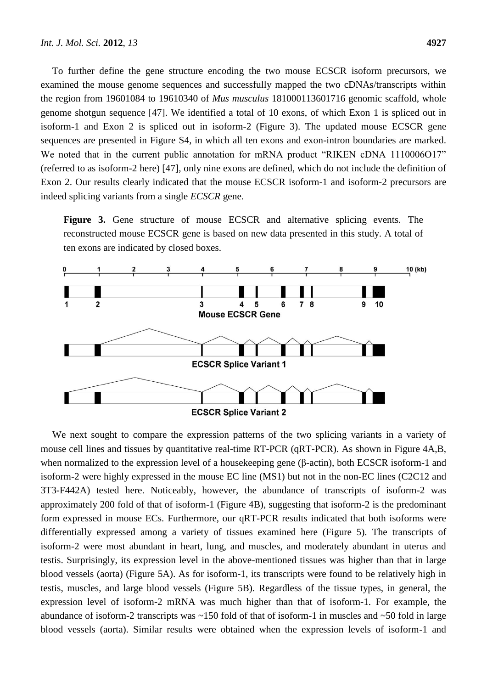To further define the gene structure encoding the two mouse ECSCR isoform precursors, we

examined the mouse genome sequences and successfully mapped the two cDNAs/transcripts within the region from 19601084 to 19610340 of *Mus musculus* 181000113601716 genomic scaffold, whole genome shotgun sequence [47]. We identified a total of 10 exons, of which Exon 1 is spliced out in isoform-1 and Exon 2 is spliced out in isoform-2 (Figure 3). The updated mouse ECSCR gene sequences are presented in Figure S4, in which all ten exons and exon-intron boundaries are marked. We noted that in the current public annotation for mRNA product "RIKEN cDNA 1110006O17" (referred to as isoform-2 here) [47], only nine exons are defined, which do not include the definition of Exon 2. Our results clearly indicated that the mouse ECSCR isoform-1 and isoform-2 precursors are indeed splicing variants from a single *ECSCR* gene.

**Figure 3.** Gene structure of mouse ECSCR and alternative splicing events. The reconstructed mouse ECSCR gene is based on new data presented in this study. A total of ten exons are indicated by closed boxes.



We next sought to compare the expression patterns of the two splicing variants in a variety of mouse cell lines and tissues by quantitative real-time RT-PCR (qRT-PCR). As shown in Figure 4A,B, when normalized to the expression level of a housekeeping gene (β-actin), both ECSCR isoform-1 and isoform-2 were highly expressed in the mouse EC line (MS1) but not in the non-EC lines (C2C12 and 3T3-F442A) tested here. Noticeably, however, the abundance of transcripts of isoform-2 was approximately 200 fold of that of isoform-1 (Figure 4B), suggesting that isoform-2 is the predominant form expressed in mouse ECs. Furthermore, our qRT-PCR results indicated that both isoforms were differentially expressed among a variety of tissues examined here (Figure 5). The transcripts of isoform-2 were most abundant in heart, lung, and muscles, and moderately abundant in uterus and testis. Surprisingly, its expression level in the above-mentioned tissues was higher than that in large blood vessels (aorta) (Figure 5A). As for isoform-1, its transcripts were found to be relatively high in testis, muscles, and large blood vessels (Figure 5B). Regardless of the tissue types, in general, the expression level of isoform-2 mRNA was much higher than that of isoform-1. For example, the abundance of isoform-2 transcripts was ~150 fold of that of isoform-1 in muscles and ~50 fold in large blood vessels (aorta). Similar results were obtained when the expression levels of isoform-1 and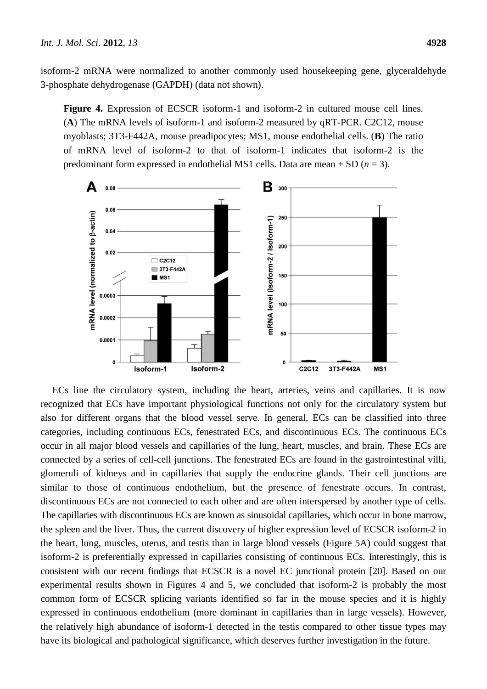isoform-2 mRNA were normalized to another commonly used housekeeping gene, glyceraldehyde 3-phosphate dehydrogenase (GAPDH) (data not shown).

**Figure 4.** Expression of ECSCR isoform-1 and isoform-2 in cultured mouse cell lines. (**A**) The mRNA levels of isoform-1 and isoform-2 measured by qRT-PCR. C2C12, mouse myoblasts; 3T3-F442A, mouse preadipocytes; MS1, mouse endothelial cells. (**B**) The ratio of mRNA level of isoform-2 to that of isoform-1 indicates that isoform-2 is the predominant form expressed in endothelial MS1 cells. Data are mean  $\pm$  SD ( $n = 3$ ).



ECs line the circulatory system, including the heart, arteries, veins and capillaries. It is now recognized that ECs have important physiological functions not only for the circulatory system but also for different organs that the blood vessel serve. In general, ECs can be classified into three categories, including continuous ECs, fenestrated ECs, and discontinuous ECs. The continuous ECs occur in all major blood vessels and capillaries of the lung, heart, muscles, and brain. These ECs are connected by a series of cell-cell junctions. The fenestrated ECs are found in the gastrointestinal villi, glomeruli of kidneys and in capillaries that supply the endocrine glands. Their cell junctions are similar to those of continuous endothelium, but the presence of fenestrate occurs. In contrast, discontinuous ECs are not connected to each other and are often interspersed by another type of cells. The capillaries with discontinuous ECs are known as sinusoidal capillaries, which occur in bone marrow, the spleen and the liver. Thus, the current discovery of higher expression level of ECSCR isoform-2 in the heart, lung, muscles, uterus, and testis than in large blood vessels (Figure 5A) could suggest that isoform-2 is preferentially expressed in capillaries consisting of continuous ECs. Interestingly, this is consistent with our recent findings that ECSCR is a novel EC junctional protein [20]. Based on our experimental results shown in Figures 4 and 5, we concluded that isoform-2 is probably the most common form of ECSCR splicing variants identified so far in the mouse species and it is highly expressed in continuous endothelium (more dominant in capillaries than in large vessels). However, the relatively high abundance of isoform-1 detected in the testis compared to other tissue types may have its biological and pathological significance, which deserves further investigation in the future.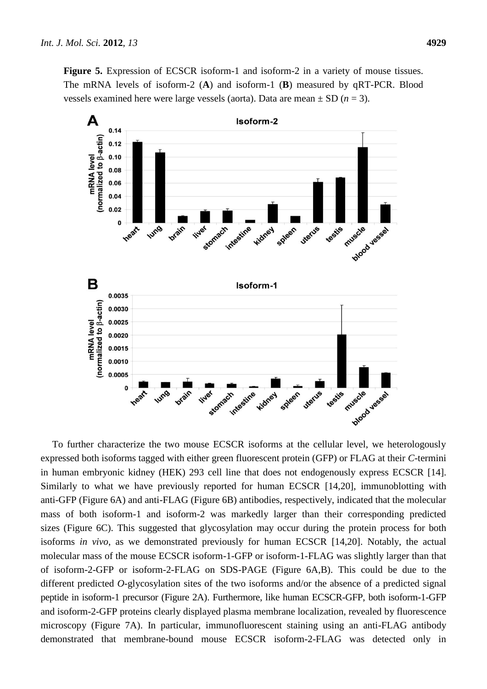**Figure 5.** Expression of ECSCR isoform-1 and isoform-2 in a variety of mouse tissues. The mRNA levels of isoform-2 (**A**) and isoform-1 (**B**) measured by qRT-PCR. Blood vessels examined here were large vessels (aorta). Data are mean  $\pm$  SD ( $n = 3$ ).



To further characterize the two mouse ECSCR isoforms at the cellular level, we heterologously expressed both isoforms tagged with either green fluorescent protein (GFP) or FLAG at their *C*-termini in human embryonic kidney (HEK) 293 cell line that does not endogenously express ECSCR [14]. Similarly to what we have previously reported for human ECSCR [14,20], immunoblotting with anti-GFP (Figure 6A) and anti-FLAG (Figure 6B) antibodies, respectively, indicated that the molecular mass of both isoform-1 and isoform-2 was markedly larger than their corresponding predicted sizes (Figure 6C). This suggested that glycosylation may occur during the protein process for both isoforms *in vivo*, as we demonstrated previously for human ECSCR [14,20]. Notably, the actual molecular mass of the mouse ECSCR isoform-1-GFP or isoform-1-FLAG was slightly larger than that of isoform-2-GFP or isoform-2-FLAG on SDS-PAGE (Figure 6A,B). This could be due to the different predicted *O*-glycosylation sites of the two isoforms and/or the absence of a predicted signal peptide in isoform-1 precursor (Figure 2A). Furthermore, like human ECSCR-GFP, both isoform-1-GFP and isoform-2-GFP proteins clearly displayed plasma membrane localization, revealed by fluorescence microscopy (Figure 7A). In particular, immunofluorescent staining using an anti-FLAG antibody demonstrated that membrane-bound mouse ECSCR isoform-2-FLAG was detected only in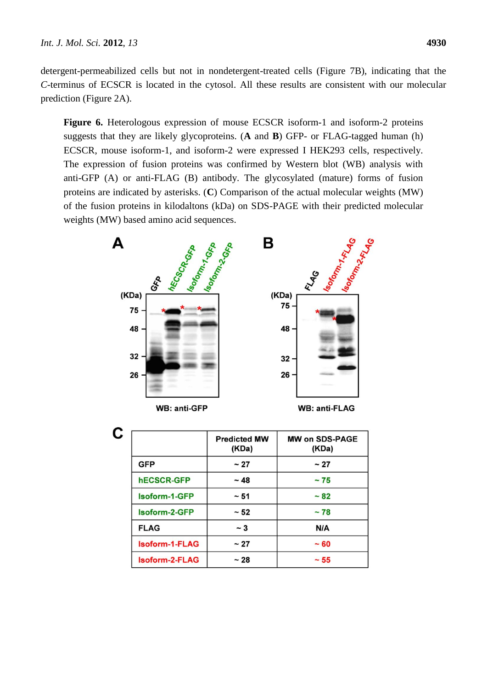detergent-permeabilized cells but not in nondetergent-treated cells (Figure 7B), indicating that the *C*-terminus of ECSCR is located in the cytosol. All these results are consistent with our molecular prediction (Figure 2A).

**Figure 6.** Heterologous expression of mouse ECSCR isoform-1 and isoform-2 proteins suggests that they are likely glycoproteins. (**A** and **B**) GFP- or FLAG-tagged human (h) ECSCR, mouse isoform-1, and isoform-2 were expressed I HEK293 cells, respectively. The expression of fusion proteins was confirmed by Western blot (WB) analysis with anti-GFP (A) or anti-FLAG (B) antibody. The glycosylated (mature) forms of fusion proteins are indicated by asterisks. (**C**) Comparison of the actual molecular weights (MW) of the fusion proteins in kilodaltons (kDa) on SDS-PAGE with their predicted molecular weights (MW) based amino acid sequences.



|  | WB: anti-GFP |  |
|--|--------------|--|
|--|--------------|--|

**WB: anti-FLAG** 

|                   | <b>Predicted MW</b><br>(KDa) | <b>MW on SDS-PAGE</b><br>(KDa) |
|-------------------|------------------------------|--------------------------------|
| <b>GFP</b>        | ~27                          | $~1$ 27                        |
| <b>hECSCR-GFP</b> | ~18                          | ~175                           |
| Isoform-1-GFP     | ~51                          | ~182                           |
| Isoform-2-GFP     | ~52                          | ~178                           |
| <b>FLAG</b>       | $~\sim$ 3                    | N/A                            |
| Isoform-1-FLAG    | $~1$ 27                      | $~10-60$                       |
| Isoform-2-FLAG    | ~28                          | $~1$ 55                        |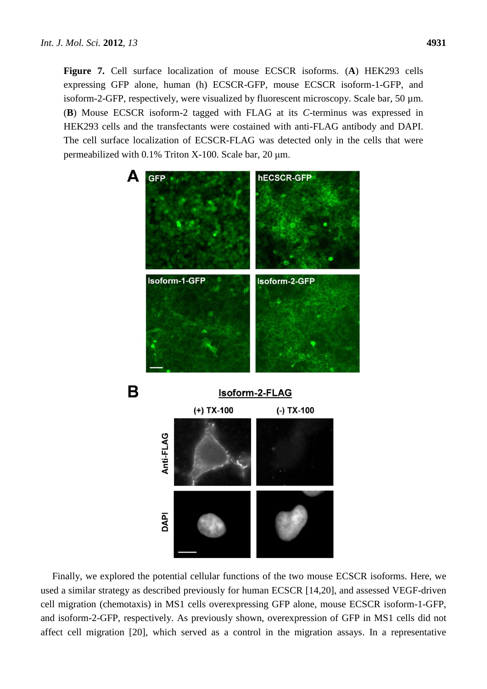**Figure 7.** Cell surface localization of mouse ECSCR isoforms. (**A**) HEK293 cells expressing GFP alone, human (h) ECSCR-GFP, mouse ECSCR isoform-1-GFP, and isoform-2-GFP, respectively, were visualized by fluorescent microscopy. Scale bar, 50 µm. (**B**) Mouse ECSCR isoform-2 tagged with FLAG at its *C*-terminus was expressed in HEK293 cells and the transfectants were costained with anti-FLAG antibody and DAPI. The cell surface localization of ECSCR-FLAG was detected only in the cells that were permeabilized with 0.1% Triton X-100. Scale bar, 20 μm.



Finally, we explored the potential cellular functions of the two mouse ECSCR isoforms. Here, we used a similar strategy as described previously for human ECSCR [14,20], and assessed VEGF-driven cell migration (chemotaxis) in MS1 cells overexpressing GFP alone, mouse ECSCR isoform-1-GFP, and isoform-2-GFP, respectively. As previously shown, overexpression of GFP in MS1 cells did not affect cell migration [20], which served as a control in the migration assays. In a representative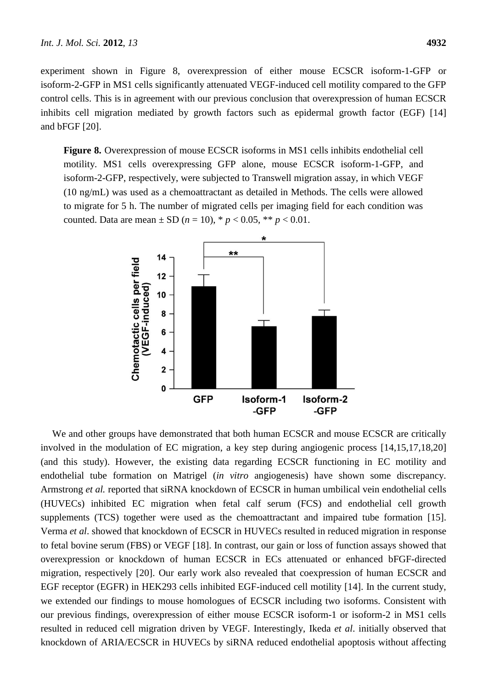experiment shown in Figure 8, overexpression of either mouse ECSCR isoform-1-GFP or isoform-2-GFP in MS1 cells significantly attenuated VEGF-induced cell motility compared to the GFP control cells. This is in agreement with our previous conclusion that overexpression of human ECSCR inhibits cell migration mediated by growth factors such as epidermal growth factor (EGF) [14] and bFGF [20].

**Figure 8.** Overexpression of mouse ECSCR isoforms in MS1 cells inhibits endothelial cell motility. MS1 cells overexpressing GFP alone, mouse ECSCR isoform-1-GFP, and isoform-2-GFP, respectively, were subjected to Transwell migration assay, in which VEGF (10 ng/mL) was used as a chemoattractant as detailed in Methods. The cells were allowed to migrate for 5 h. The number of migrated cells per imaging field for each condition was counted. Data are mean  $\pm$  SD (*n* = 10), \* *p* < 0.05, \*\* *p* < 0.01.



We and other groups have demonstrated that both human ECSCR and mouse ECSCR are critically involved in the modulation of EC migration, a key step during angiogenic process [14,15,17,18,20] (and this study). However, the existing data regarding ECSCR functioning in EC motility and endothelial tube formation on Matrigel (*in vitro* angiogenesis) have shown some discrepancy. Armstrong *et al.* reported that siRNA knockdown of ECSCR in human umbilical vein endothelial cells (HUVECs) inhibited EC migration when fetal calf serum (FCS) and endothelial cell growth supplements (TCS) together were used as the chemoattractant and impaired tube formation [15]. Verma *et al*. showed that knockdown of ECSCR in HUVECs resulted in reduced migration in response to fetal bovine serum (FBS) or VEGF [18]. In contrast, our gain or loss of function assays showed that overexpression or knockdown of human ECSCR in ECs attenuated or enhanced bFGF-directed migration, respectively [20]. Our early work also revealed that coexpression of human ECSCR and EGF receptor (EGFR) in HEK293 cells inhibited EGF-induced cell motility [14]. In the current study, we extended our findings to mouse homologues of ECSCR including two isoforms. Consistent with our previous findings, overexpression of either mouse ECSCR isoform-1 or isoform-2 in MS1 cells resulted in reduced cell migration driven by VEGF. Interestingly, Ikeda *et al*. initially observed that knockdown of ARIA/ECSCR in HUVECs by siRNA reduced endothelial apoptosis without affecting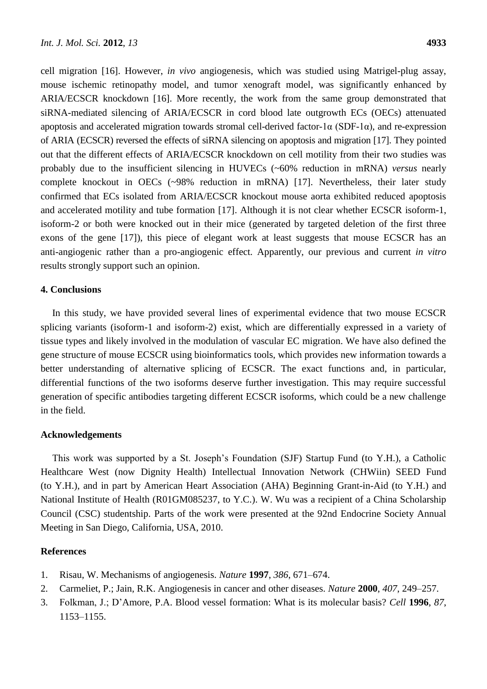cell migration [16]. However, *in vivo* angiogenesis, which was studied using Matrigel-plug assay, mouse ischemic retinopathy model, and tumor xenograft model, was significantly enhanced by ARIA/ECSCR knockdown [16]. More recently, the work from the same group demonstrated that siRNA-mediated silencing of ARIA/ECSCR in cord blood late outgrowth ECs (OECs) attenuated apoptosis and accelerated migration towards stromal cell-derived factor-1 $\alpha$  (SDF-1 $\alpha$ ), and re-expression of ARIA (ECSCR) reversed the effects of siRNA silencing on apoptosis and migration [17]. They pointed out that the different effects of ARIA/ECSCR knockdown on cell motility from their two studies was probably due to the insufficient silencing in HUVECs (~60% reduction in mRNA) *versus* nearly complete knockout in OECs (~98% reduction in mRNA) [17]. Nevertheless, their later study confirmed that ECs isolated from ARIA/ECSCR knockout mouse aorta exhibited reduced apoptosis and accelerated motility and tube formation [17]. Although it is not clear whether ECSCR isoform-1, isoform-2 or both were knocked out in their mice (generated by targeted deletion of the first three exons of the gene [17]), this piece of elegant work at least suggests that mouse ECSCR has an anti-angiogenic rather than a pro-angiogenic effect. Apparently, our previous and current *in vitro* results strongly support such an opinion.

## **4. Conclusions**

In this study, we have provided several lines of experimental evidence that two mouse ECSCR splicing variants (isoform-1 and isoform-2) exist, which are differentially expressed in a variety of tissue types and likely involved in the modulation of vascular EC migration. We have also defined the gene structure of mouse ECSCR using bioinformatics tools, which provides new information towards a better understanding of alternative splicing of ECSCR. The exact functions and, in particular, differential functions of the two isoforms deserve further investigation. This may require successful generation of specific antibodies targeting different ECSCR isoforms, which could be a new challenge in the field.

## **Acknowledgements**

This work was supported by a St. Joseph's Foundation (SJF) Startup Fund (to Y.H.), a Catholic Healthcare West (now Dignity Health) Intellectual Innovation Network (CHWiin) SEED Fund (to Y.H.), and in part by American Heart Association (AHA) Beginning Grant-in-Aid (to Y.H.) and National Institute of Health (R01GM085237, to Y.C.). W. Wu was a recipient of a China Scholarship Council (CSC) studentship. Parts of the work were presented at the 92nd Endocrine Society Annual Meeting in San Diego, California, USA, 2010.

## **References**

- 1. Risau, W. Mechanisms of angiogenesis. *Nature* **1997**, *386*, 671–674.
- 2. Carmeliet, P.; Jain, R.K. Angiogenesis in cancer and other diseases. *Nature* **2000**, *407*, 249–257.
- 3. Folkman, J.; D'Amore, P.A. Blood vessel formation: What is its molecular basis? *Cell* **1996**, *87*, 1153–1155.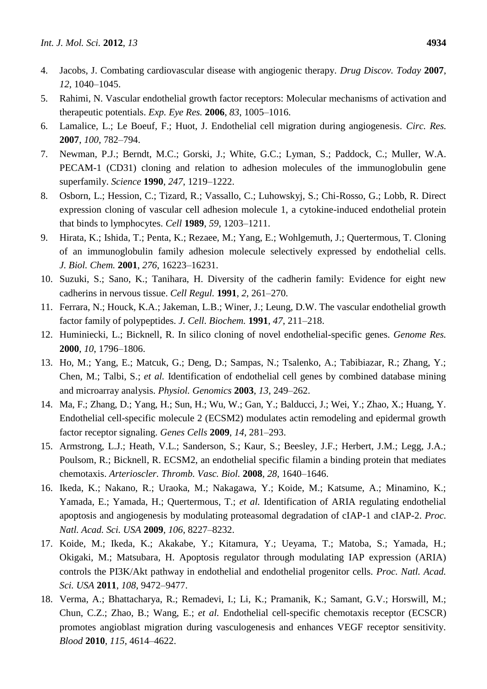- 4. Jacobs, J. Combating cardiovascular disease with angiogenic therapy. *Drug Discov. Today* **2007**, *12*, 1040–1045.
- 5. Rahimi, N. Vascular endothelial growth factor receptors: Molecular mechanisms of activation and therapeutic potentials. *Exp. Eye Res.* **2006**, *83*, 1005–1016.
- 6. Lamalice, L.; Le Boeuf, F.; Huot, J. Endothelial cell migration during angiogenesis. *Circ. Res.*  **2007**, *100*, 782–794.
- 7. Newman, P.J.; Berndt, M.C.; Gorski, J.; White, G.C.; Lyman, S.; Paddock, C.; Muller, W.A. PECAM-1 (CD31) cloning and relation to adhesion molecules of the immunoglobulin gene superfamily. *Science* **1990**, *247*, 1219–1222.
- 8. Osborn, L.; Hession, C.; Tizard, R.; Vassallo, C.; Luhowskyj, S.; Chi-Rosso, G.; Lobb, R. Direct expression cloning of vascular cell adhesion molecule 1, a cytokine-induced endothelial protein that binds to lymphocytes. *Cell* **1989**, *59*, 1203–1211.
- 9. Hirata, K.; Ishida, T.; Penta, K.; Rezaee, M.; Yang, E.; Wohlgemuth, J.; Quertermous, T. Cloning of an immunoglobulin family adhesion molecule selectively expressed by endothelial cells. *J. Biol. Chem.* **2001**, *276*, 16223–16231.
- 10. Suzuki, S.; Sano, K.; Tanihara, H. Diversity of the cadherin family: Evidence for eight new cadherins in nervous tissue. *Cell Regul.* **1991**, *2*, 261–270.
- 11. Ferrara, N.; Houck, K.A.; Jakeman, L.B.; Winer, J.; Leung, D.W. The vascular endothelial growth factor family of polypeptides. *J. Cell. Biochem.* **1991**, *47*, 211–218.
- 12. Huminiecki, L.; Bicknell, R. In silico cloning of novel endothelial-specific genes. *Genome Res.*  **2000**, *10*, 1796–1806.
- 13. Ho, M.; Yang, E.; Matcuk, G.; Deng, D.; Sampas, N.; Tsalenko, A.; Tabibiazar, R.; Zhang, Y.; Chen, M.; Talbi, S.; *et al.* Identification of endothelial cell genes by combined database mining and microarray analysis. *Physiol. Genomics* **2003**, *13*, 249–262.
- 14. Ma, F.; Zhang, D.; Yang, H.; Sun, H.; Wu, W.; Gan, Y.; Balducci, J.; Wei, Y.; Zhao, X.; Huang, Y. Endothelial cell-specific molecule 2 (ECSM2) modulates actin remodeling and epidermal growth factor receptor signaling. *Genes Cells* **2009**, *14*, 281–293.
- 15. Armstrong, L.J.; Heath, V.L.; Sanderson, S.; Kaur, S.; Beesley, J.F.; Herbert, J.M.; Legg, J.A.; Poulsom, R.; Bicknell, R. ECSM2, an endothelial specific filamin a binding protein that mediates chemotaxis. *Arterioscler. Thromb. Vasc. Biol.* **2008**, *28*, 1640–1646.
- 16. Ikeda, K.; Nakano, R.; Uraoka, M.; Nakagawa, Y.; Koide, M.; Katsume, A.; Minamino, K.; Yamada, E.; Yamada, H.; Quertermous, T.; *et al.* Identification of ARIA regulating endothelial apoptosis and angiogenesis by modulating proteasomal degradation of cIAP-1 and cIAP-2. *Proc. Natl. Acad. Sci. USA* **2009**, *106*, 8227–8232.
- 17. Koide, M.; Ikeda, K.; Akakabe, Y.; Kitamura, Y.; Ueyama, T.; Matoba, S.; Yamada, H.; Okigaki, M.; Matsubara, H. Apoptosis regulator through modulating IAP expression (ARIA) controls the PI3K/Akt pathway in endothelial and endothelial progenitor cells. *Proc. Natl. Acad. Sci. USA* **2011**, *108*, 9472–9477.
- 18. Verma, A.; Bhattacharya, R.; Remadevi, I.; Li, K.; Pramanik, K.; Samant, G.V.; Horswill, M.; Chun, C.Z.; Zhao, B.; Wang, E.; *et al.* Endothelial cell-specific chemotaxis receptor (ECSCR) promotes angioblast migration during vasculogenesis and enhances VEGF receptor sensitivity. *Blood* **2010**, *115*, 4614–4622.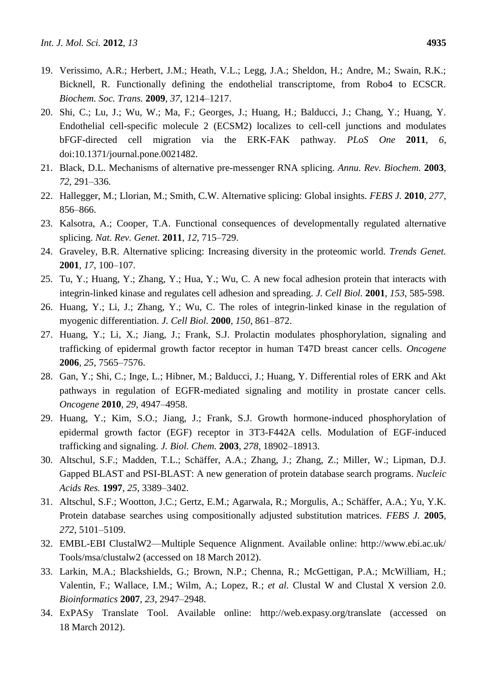- 19. Verissimo, A.R.; Herbert, J.M.; Heath, V.L.; Legg, J.A.; Sheldon, H.; Andre, M.; Swain, R.K.; Bicknell, R. Functionally defining the endothelial transcriptome, from Robo4 to ECSCR. *Biochem. Soc. Trans.* **2009**, *37*, 1214–1217.
- 20. Shi, C.; Lu, J.; Wu, W.; Ma, F.; Georges, J.; Huang, H.; Balducci, J.; Chang, Y.; Huang, Y. Endothelial cell-specific molecule 2 (ECSM2) localizes to cell-cell junctions and modulates bFGF-directed cell migration via the ERK-FAK pathway. *PLoS One* **2011**, *6*, doi:10.1371/journal.pone.0021482.
- 21. Black, D.L. Mechanisms of alternative pre-messenger RNA splicing. *Annu. Rev. Biochem.* **2003**, *72*, 291–336.
- 22. Hallegger, M.; Llorian, M.; Smith, C.W. Alternative splicing: Global insights. *FEBS J.* **2010**, *277*, 856–866.
- 23. Kalsotra, A.; Cooper, T.A. Functional consequences of developmentally regulated alternative splicing. *Nat. Rev. Genet.* **2011**, *12*, 715–729.
- 24. Graveley, B.R. Alternative splicing: Increasing diversity in the proteomic world. *Trends Genet.*  **2001**, *17*, 100–107.
- 25. Tu, Y.; Huang, Y.; Zhang, Y.; Hua, Y.; Wu, C. A new focal adhesion protein that interacts with integrin-linked kinase and regulates cell adhesion and spreading. *J. Cell Biol.* **2001**, *153*, 585-598.
- 26. Huang, Y.; Li, J.; Zhang, Y.; Wu, C. The roles of integrin-linked kinase in the regulation of myogenic differentiation. *J. Cell Biol.* **2000**, *150*, 861–872.
- 27. Huang, Y.; Li, X.; Jiang, J.; Frank, S.J. Prolactin modulates phosphorylation, signaling and trafficking of epidermal growth factor receptor in human T47D breast cancer cells. *Oncogene*  **2006**, *25*, 7565–7576.
- 28. Gan, Y.; Shi, C.; Inge, L.; Hibner, M.; Balducci, J.; Huang, Y. Differential roles of ERK and Akt pathways in regulation of EGFR-mediated signaling and motility in prostate cancer cells. *Oncogene* **2010**, *29*, 4947–4958.
- 29. Huang, Y.; Kim, S.O.; Jiang, J.; Frank, S.J. Growth hormone-induced phosphorylation of epidermal growth factor (EGF) receptor in 3T3-F442A cells. Modulation of EGF-induced trafficking and signaling. *J. Biol. Chem.* **2003**, *278*, 18902–18913.
- 30. Altschul, S.F.; Madden, T.L.; Schäffer, A.A.; Zhang, J.; Zhang, Z.; Miller, W.; Lipman, D.J. Gapped BLAST and PSI-BLAST: A new generation of protein database search programs. *Nucleic Acids Res.* **1997**, *25*, 3389–3402.
- 31. Altschul, S.F.; Wootton, J.C.; Gertz, E.M.; Agarwala, R.; Morgulis, A.; Schäffer, A.A.; Yu, Y.K. Protein database searches using compositionally adjusted substitution matrices. *FEBS J.* **2005**, *272*, 5101–5109.
- 32. EMBL-EBI ClustalW2—Multiple Sequence Alignment. Available online: http://www.ebi.ac.uk/ Tools/msa/clustalw2 (accessed on 18 March 2012).
- 33. Larkin, M.A.; Blackshields, G.; Brown, N.P.; Chenna, R.; McGettigan, P.A.; McWilliam, H.; Valentin, F.; Wallace, I.M.; Wilm, A.; Lopez, R.; *et al.* Clustal W and Clustal X version 2.0. *Bioinformatics* **2007**, *23*, 2947–2948.
- 34. ExPASy Translate Tool. Available online: http://web.expasy.org/translate (accessed on 18 March 2012).